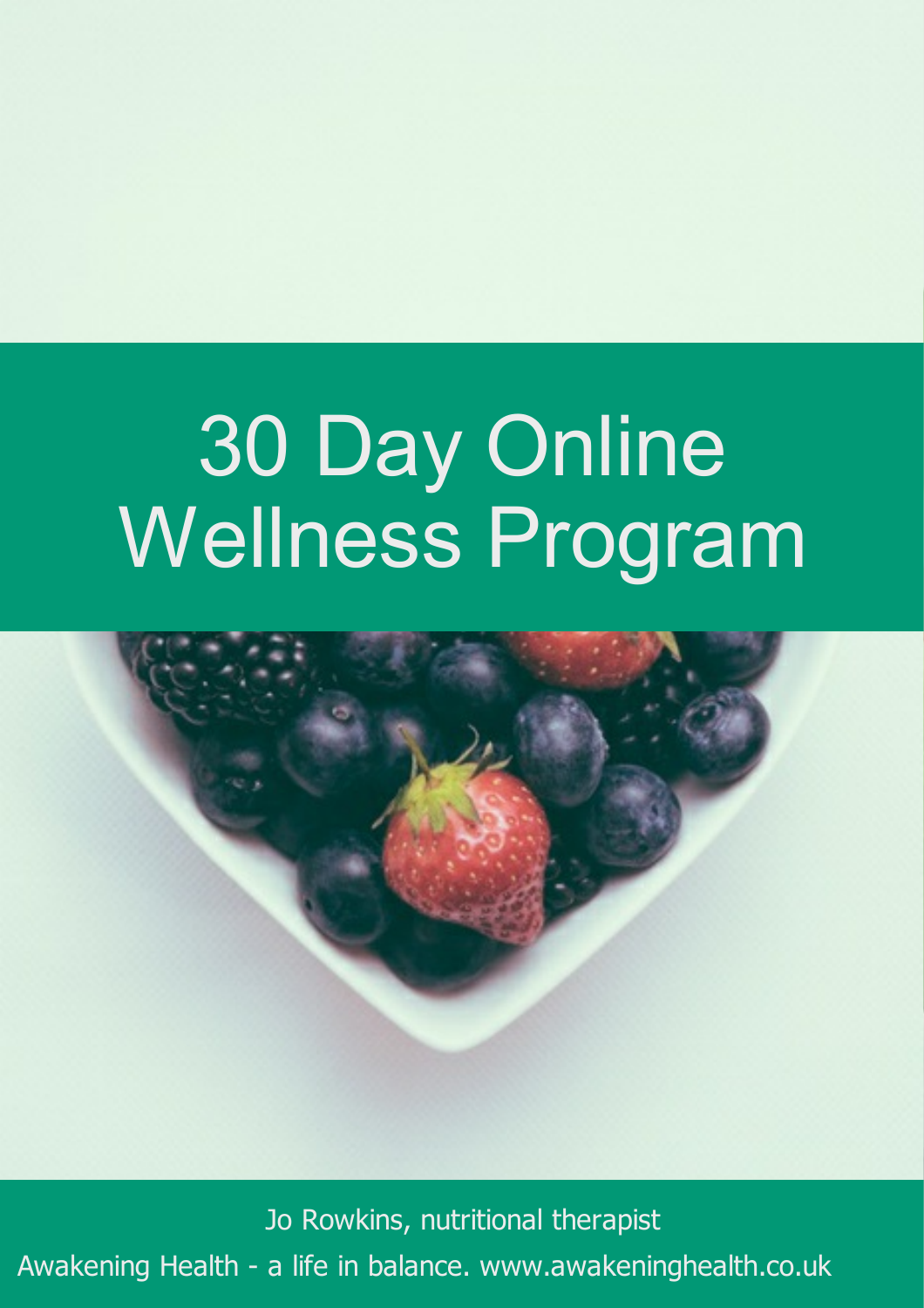

Awakening Health - a life in balance. www.awakeninghealth.co.uk Jo Rowkins, nutritional therapist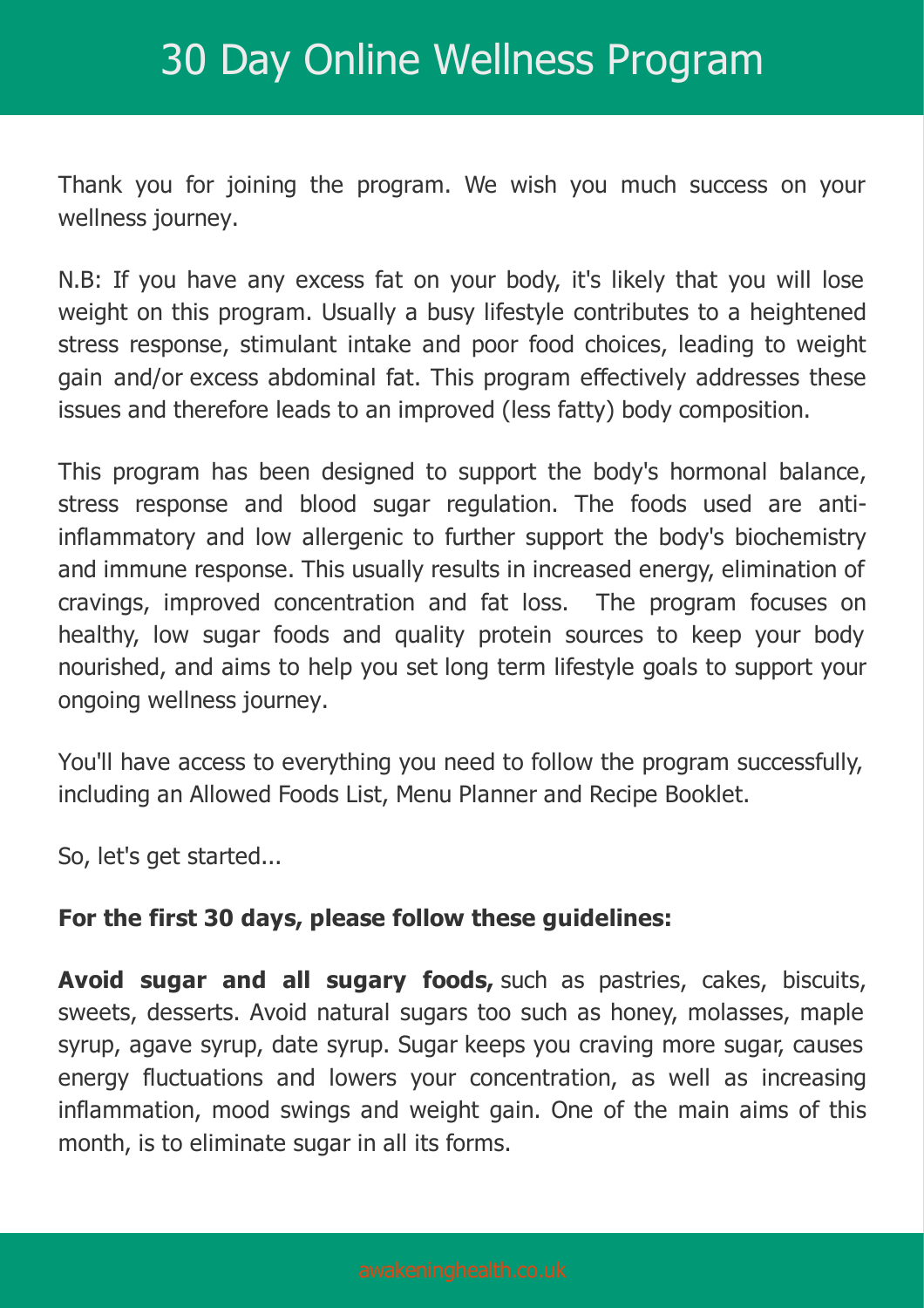Thank you for joining the program. We wish you much success on your wellness journey.

N.B: If you have any excess fat on your body, it's likely that you will lose weight on this program. Usually a busy lifestyle contributes to a heightened stress response, stimulant intake and poor food choices, leading to weight gain and/or excess abdominal fat. This program effectively addresses these issues and therefore leads to an improved (less fatty) body composition.

This program has been designed to support the body's hormonal balance, stress response and blood sugar regulation. The foods used are antiinflammatory and low allergenic to further support the body's biochemistry and immune response. This usually results in increased energy, elimination of cravings, improved concentration and fat loss. The program focuses on healthy, low sugar foods and quality protein sources to keep your body nourished, and aims to help you set long term lifestyle goals to support your ongoing wellness journey.

You'll have access to everything you need to follow the program successfully, including an Allowed Foods List, Menu Planner and Recipe Booklet.

So, let's get started...

#### **For the first 30 days, please follow these guidelines:**

**Avoid sugar and all sugary foods,** such as pastries, cakes, biscuits, sweets, desserts. Avoid natural sugars too such as honey, molasses, maple syrup, agave syrup, date syrup. Sugar keeps you craving more sugar, causes energy fluctuations and lowers your concentration, as well as increasing inflammation, mood swings and weight gain. One of the main aims of this month, is to eliminate sugar in all its forms.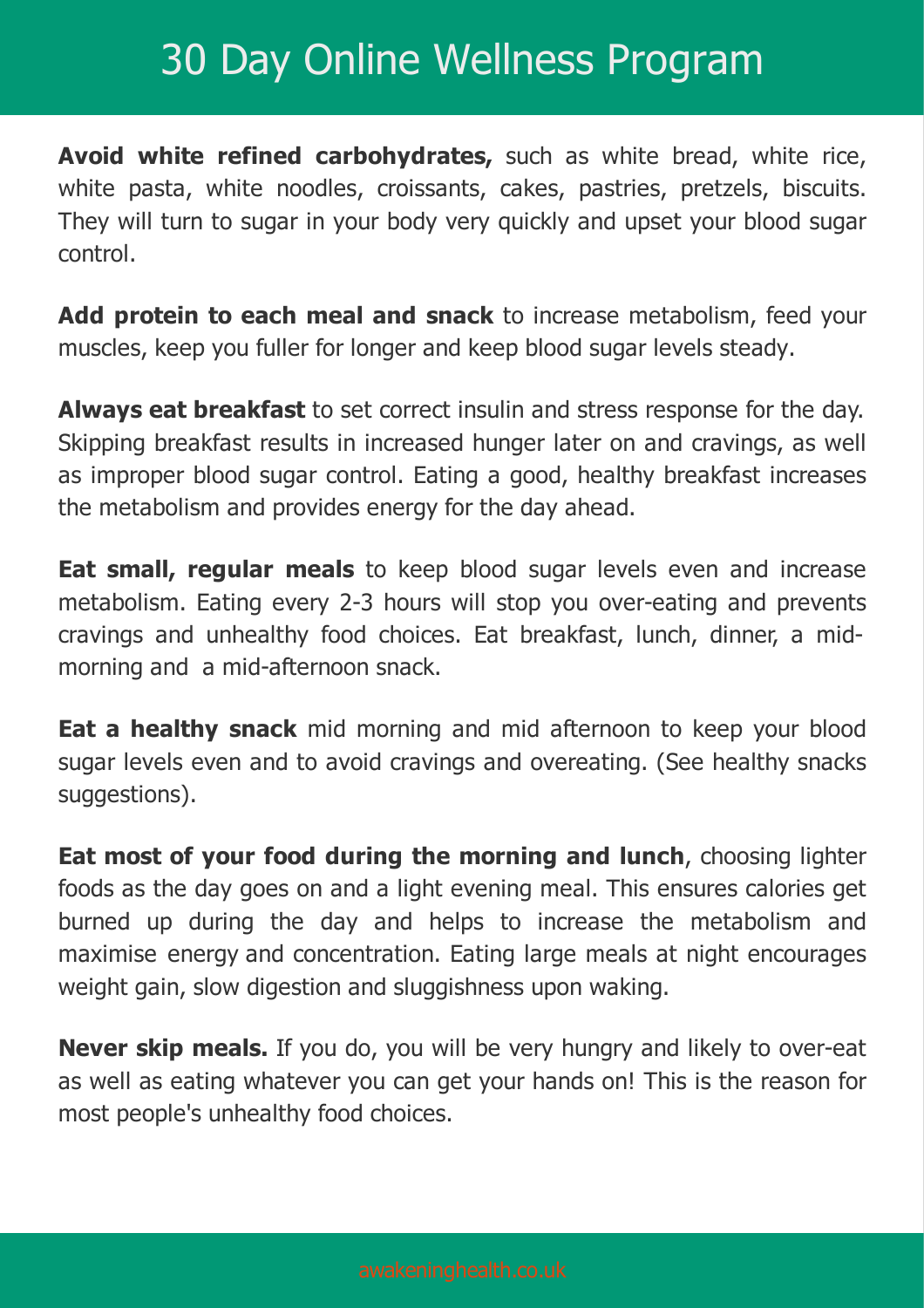**Avoid white refined carbohydrates,** such as white bread, white rice, white pasta, white noodles, croissants, cakes, pastries, pretzels, biscuits. They will turn to sugar in your body very quickly and upset your blood sugar control.

**Add protein to each meal and snack** to increase metabolism, feed your muscles, keep you fuller for longer and keep blood sugar levels steady.

**Always eat breakfast** to set correct insulin and stress response for the day. Skipping breakfast results in increased hunger later on and cravings, as well as improper blood sugar control. Eating a good, healthy breakfast increases the metabolism and provides energy for the day ahead.

**Eat small, regular meals** to keep blood sugar levels even and increase metabolism. Eating every 2-3 hours will stop you over-eating and prevents cravings and unhealthy food choices. Eat breakfast, lunch, dinner, a midmorning and a mid-afternoon snack.

**Eat a healthy snack** mid morning and mid afternoon to keep your blood sugar levels even and to avoid cravings and overeating. (See healthy snacks suggestions).

**Eat most of your food during the morning and lunch**, choosing lighter foods as the day goes on and a light evening meal. This ensures calories get burned up during the day and helps to increase the metabolism and maximise energy and concentration. Eating large meals at night encourages weight gain, slow digestion and sluggishness upon waking.

**Never skip meals.** If you do, you will be very hungry and likely to over-eat as well as eating whatever you can get your hands on! This is the reason for most people's unhealthy food choices.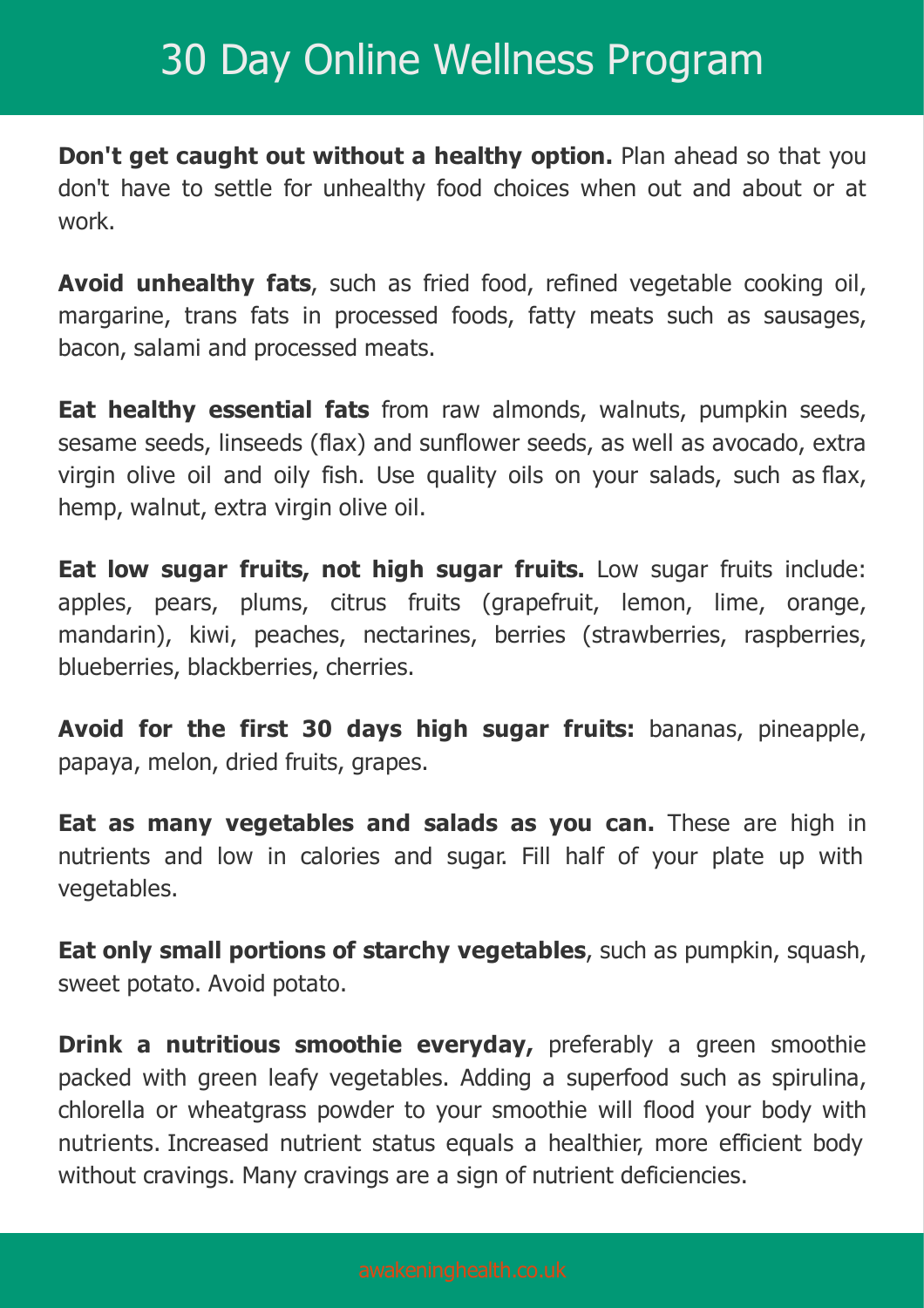**Don't get caught out without a healthy option.** Plan ahead so that you don't have to settle for unhealthy food choices when out and about or at work.

**Avoid unhealthy fats**, such as fried food, refined vegetable cooking oil, margarine, trans fats in processed foods, fatty meats such as sausages, bacon, salami and processed meats.

**Eat healthy essential fats** from raw almonds, walnuts, pumpkin seeds, sesame seeds, linseeds (flax) and sunflower seeds, as well as avocado, extra virgin olive oil and oily fish. Use quality oils on your salads, such as flax, hemp, walnut, extra virgin olive oil.

**Eat low sugar fruits, not high sugar fruits.** Low sugar fruits include: apples, pears, plums, citrus fruits (grapefruit, lemon, lime, orange, mandarin), kiwi, peaches, nectarines, berries (strawberries, raspberries, blueberries, blackberries, cherries.

**Avoid for the first 30 days high sugar fruits:** bananas, pineapple, papaya, melon, dried fruits, grapes.

**Eat as many vegetables and salads as you can.** These are high in nutrients and low in calories and sugar. Fill half of your plate up with vegetables.

**Eat only small portions of starchy vegetables**, such as pumpkin, squash, sweet potato. Avoid potato.

**Drink a nutritious smoothie everyday,** preferably a green smoothie packed with green leafy vegetables. Adding a superfood such as spirulina, chlorella or wheatgrass powder to your smoothie will flood your body with nutrients. Increased nutrient status equals a healthier, more efficient body without cravings. Many cravings are a sign of nutrient deficiencies.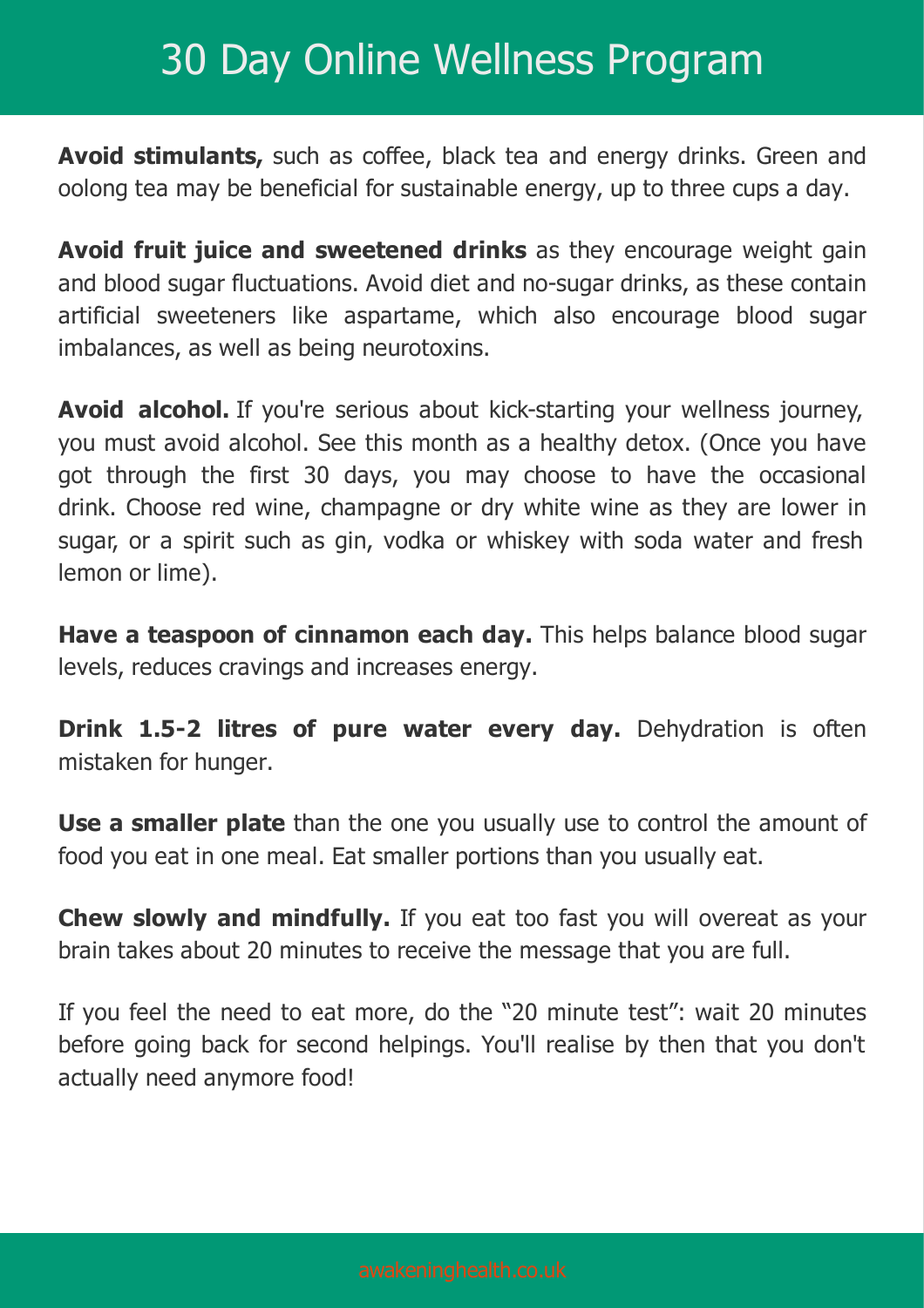**Avoid stimulants,** such as coffee, black tea and energy drinks. Green and oolong tea may be beneficial for sustainable energy, up to three cups a day.

**Avoid fruit juice and sweetened drinks** as they encourage weight gain and blood sugar fluctuations. Avoid diet and no-sugar drinks, as these contain artificial sweeteners like aspartame, which also encourage blood sugar imbalances, as well as being neurotoxins.

**Avoid alcohol.** If you're serious about kick-starting your wellness journey, you must avoid alcohol. See this month as a healthy detox. (Once you have got through the first 30 days, you may choose to have the occasional drink. Choose red wine, champagne or dry white wine as they are lower in sugar, or a spirit such as gin, vodka or whiskey with soda water and fresh lemon or lime).

**Have a teaspoon of cinnamon each day.** This helps balance blood sugar levels, reduces cravings and increases energy.

**Drink 1.5-2 litres of pure water every day.** Dehydration is often mistaken for hunger.

**Use a smaller plate** than the one you usually use to control the amount of food you eat in one meal. Eat smaller portions than you usually eat.

**Chew slowly and mindfully.** If you eat too fast you will overeat as your brain takes about 20 minutes to receive the message that you are full.

If you feel the need to eat more, do the "20 minute test": wait 20 minutes before going back for second helpings. You'll realise by then that you don't actually need anymore food!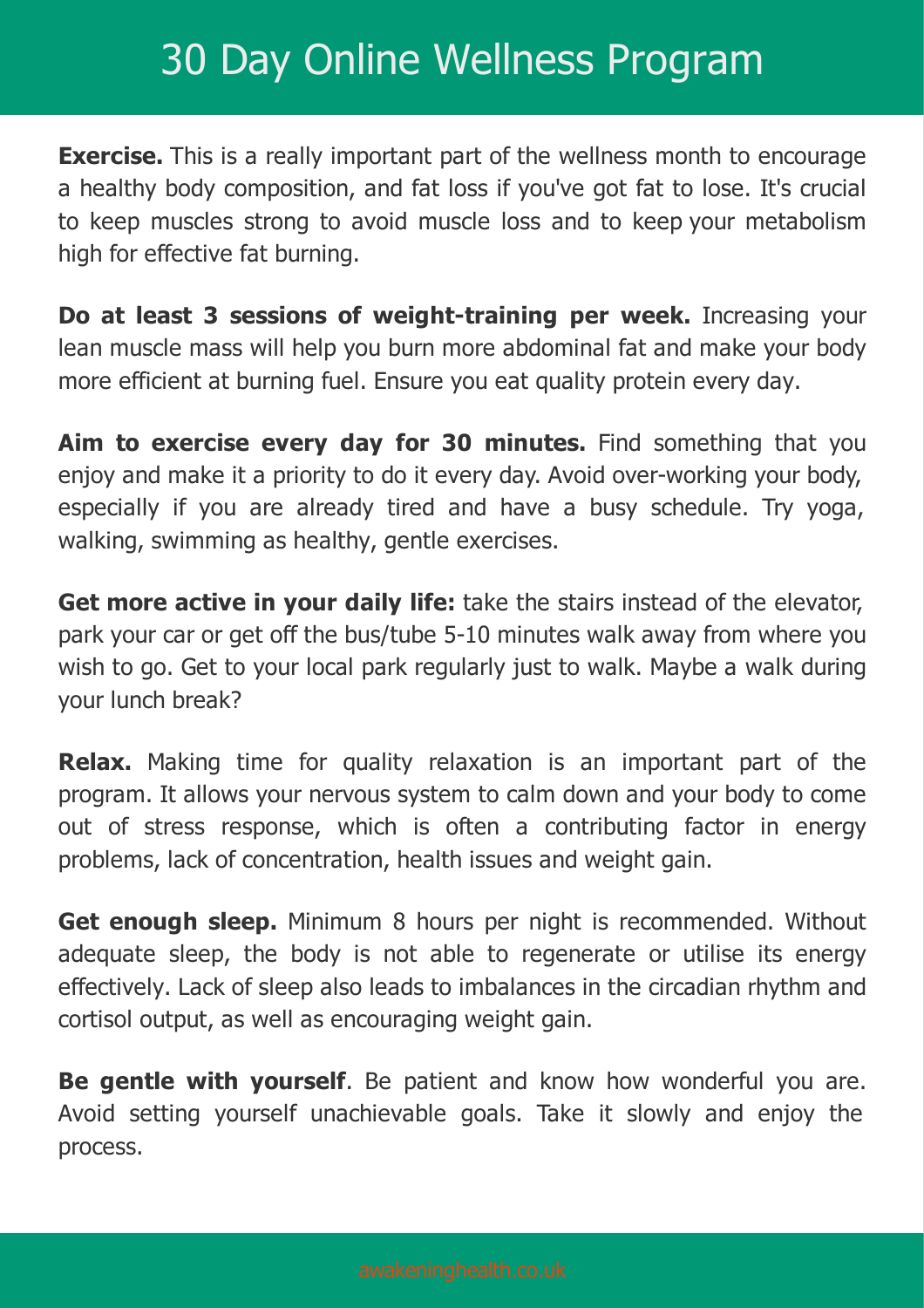**Exercise.** This is a really important part of the wellness month to encourage a healthy body composition, and fat loss if you've got fat to lose. It's crucial to keep muscles strong to avoid muscle loss and to keep your metabolism high for effective fat burning.

**Do at least 3 sessions of weight-training per week.** Increasing your lean muscle mass will help you burn more abdominal fat and make your body more efficient at burning fuel. Ensure you eat quality protein every day.

**Aim to exercise every day for 30 minutes.** Find something that you enjoy and make it a priority to do it every day. Avoid over-working your body, especially if you are already tired and have a busy schedule. Try yoga, walking, swimming as healthy, gentle exercises.

**Get more active in your daily life:** take the stairs instead of the elevator, park your car or get off the bus/tube 5-10 minutes walk away from where you wish to go. Get to your local park regularly just to walk. Maybe a walk during your lunch break?

**Relax.** Making time for quality relaxation is an important part of the program. It allows your nervous system to calm down and your body to come out of stress response, which is often a contributing factor in energy problems, lack of concentration, health issues and weight gain.

**Get enough sleep.** Minimum 8 hours per night is recommended. Without adequate sleep, the body is not able to regenerate or utilise its energy effectively. Lack of sleep also leads to imbalances in the circadian rhythm and cortisol output, as well as encouraging weight gain.

**Be gentle with yourself**. Be patient and know how wonderful you are. Avoid setting yourself unachievable goals. Take it slowly and enjoy the process.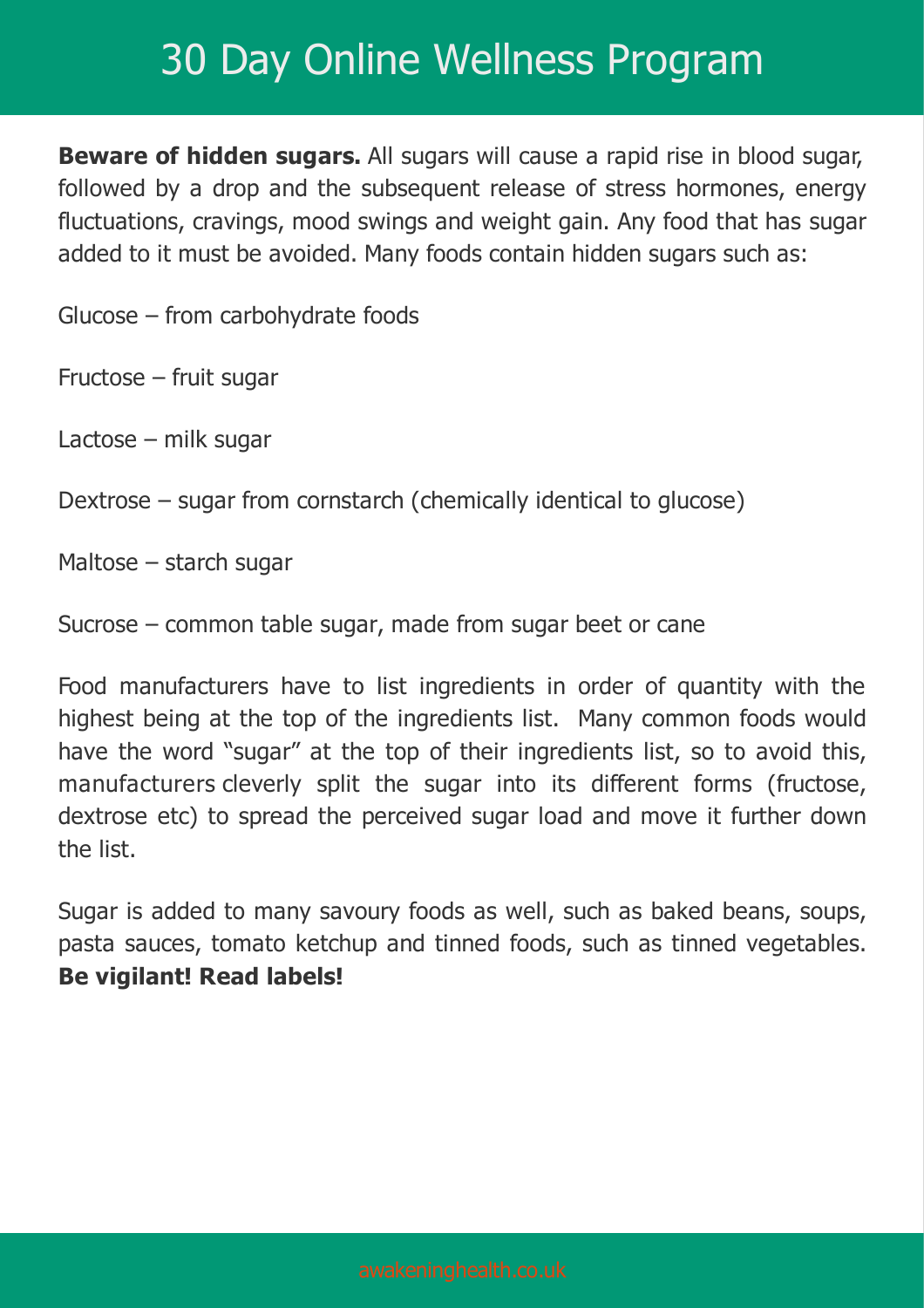**Beware of hidden sugars.** All sugars will cause a rapid rise in blood sugar, followed by a drop and the subsequent release of stress hormones, energy fluctuations, cravings, mood swings and weight gain. Any food that has sugar added to it must be avoided. Many foods contain hidden sugars such as:

Glucose – from carbohydrate foods

Fructose – fruit sugar

Lactose – milk sugar

Dextrose – sugar from cornstarch (chemically identical to glucose)

Maltose – starch sugar

Sucrose – common table sugar, made from sugar beet or cane

Food manufacturers have to list ingredients in order of quantity with the highest being at the top of the ingredients list. Many common foods would have the word "sugar" at the top of their ingredients list, so to avoid this, manufacturers cleverly split the sugar into its different forms (fructose, dextrose etc) to spread the perceived sugar load and move it further down the list.

Sugar is added to many savoury foods as well, such as baked beans, soups, pasta sauces, tomato ketchup and tinned foods, such as tinned vegetables. **Be vigilant! Read labels!**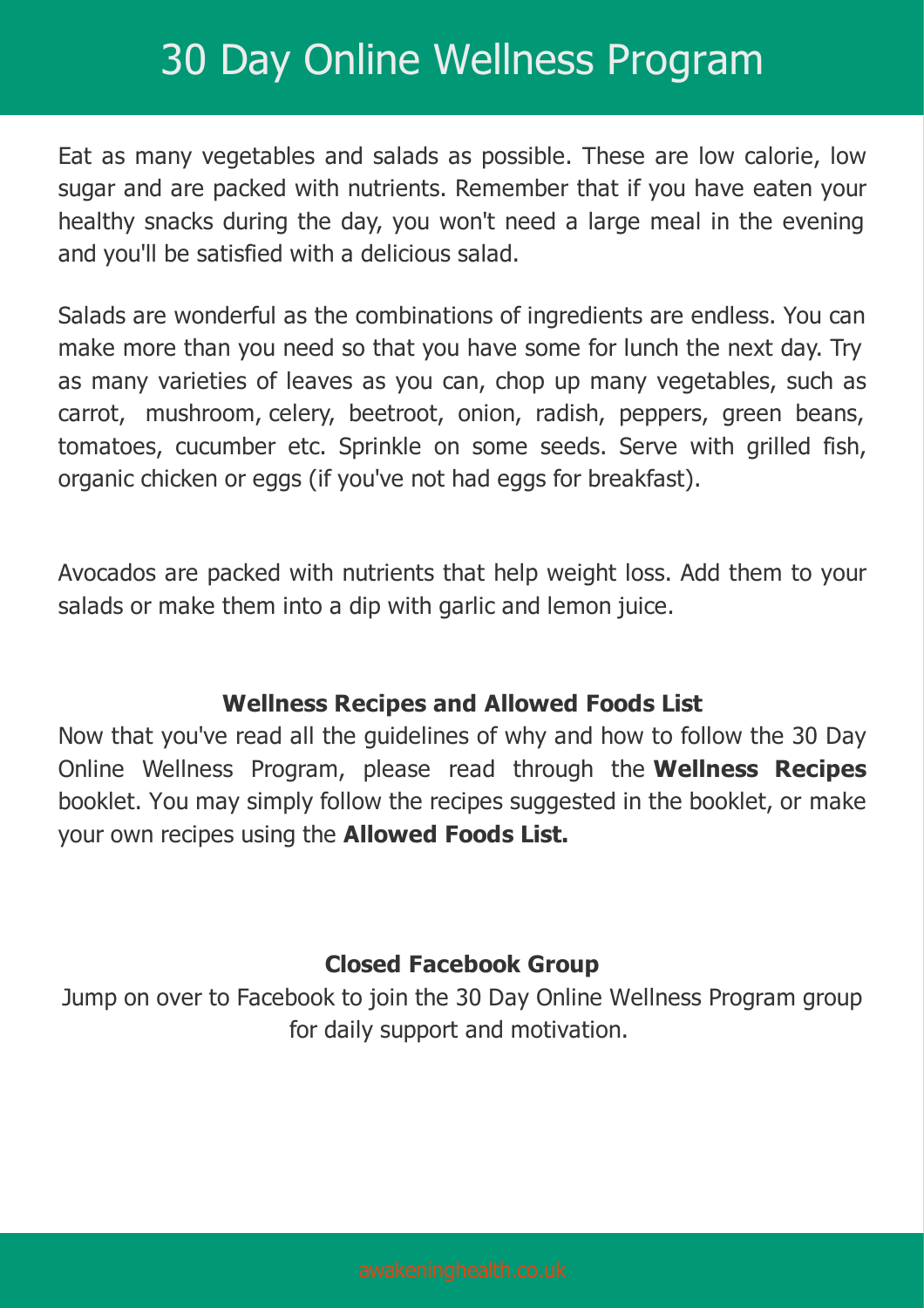Eat as many vegetables and salads as possible. These are low calorie, low sugar and are packed with nutrients. Remember that if you have eaten your healthy snacks during the day, you won't need a large meal in the evening and you'll be satisfied with a delicious salad.

Salads are wonderful as the combinations of ingredients are endless. You can make more than you need so that you have some for lunch the next day. Try as many varieties of leaves as you can, chop up many vegetables, such as carrot, mushroom, celery, beetroot, onion, radish, peppers, green beans, tomatoes, cucumber etc. Sprinkle on some seeds. Serve with grilled fish, organic chicken or eggs (if you've not had eggs for breakfast).

Avocados are packed with nutrients that help weight loss. Add them to your salads or make them into a dip with garlic and lemon juice.

#### **Wellness Recipes and Allowed Foods List**

Now that you've read all the guidelines of why and how to follow the 30 Day Online Wellness Program, please read through the **Wellness Recipes** booklet. You may simply follow the recipes suggested in the booklet, or make your own recipes using the **Allowed Foods List.**

#### **Closed Facebook Group**

Jump on over to Facebook to join the 30 Day Online Wellness Program group for daily support and motivation.